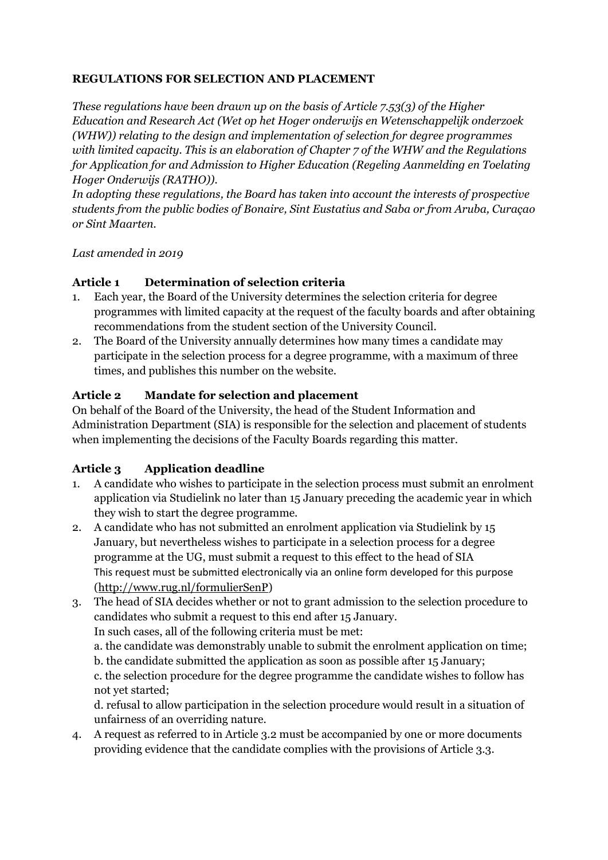### **REGULATIONS FOR SELECTION AND PLACEMENT**

*These regulations have been drawn up on the basis of Article 7.53(3) of the Higher Education and Research Act (Wet op het Hoger onderwijs en Wetenschappelijk onderzoek (WHW)) relating to the design and implementation of selection for degree programmes with limited capacity. This is an elaboration of Chapter 7 of the WHW and the Regulations for Application for and Admission to Higher Education (Regeling Aanmelding en Toelating Hoger Onderwijs (RATHO)).* 

*In adopting these regulations, the Board has taken into account the interests of prospective students from the public bodies of Bonaire, Sint Eustatius and Saba or from Aruba, Curaçao or Sint Maarten.*

### *Last amended in 2019*

### **Article 1 Determination of selection criteria**

- 1. Each year, the Board of the University determines the selection criteria for degree programmes with limited capacity at the request of the faculty boards and after obtaining recommendations from the student section of the University Council.
- 2. The Board of the University annually determines how many times a candidate may participate in the selection process for a degree programme, with a maximum of three times, and publishes this number on the website.

### **Article 2 Mandate for selection and placement**

On behalf of the Board of the University, the head of the Student Information and Administration Department (SIA) is responsible for the selection and placement of students when implementing the decisions of the Faculty Boards regarding this matter.

### **Article 3 Application deadline**

- 1. A candidate who wishes to participate in the selection process must submit an enrolment application via Studielink no later than 15 January preceding the academic year in which they wish to start the degree programme.
- 2. A candidate who has not submitted an enrolment application via Studielink by 15 January, but nevertheless wishes to participate in a selection process for a degree programme at the UG, must submit a request to this effect to the head of SIA This request must be submitted electronically via an online form developed for this purpose [\(http://www.rug.nl/formulierSenP\)](http://www.rug.nl/formulierSenP)
- 3. The head of SIA decides whether or not to grant admission to the selection procedure to candidates who submit a request to this end after 15 January.

In such cases, all of the following criteria must be met:

a. the candidate was demonstrably unable to submit the enrolment application on time; b. the candidate submitted the application as soon as possible after 15 January;

c. the selection procedure for the degree programme the candidate wishes to follow has not yet started;

d. refusal to allow participation in the selection procedure would result in a situation of unfairness of an overriding nature.

4. A request as referred to in Article 3.2 must be accompanied by one or more documents providing evidence that the candidate complies with the provisions of Article 3.3.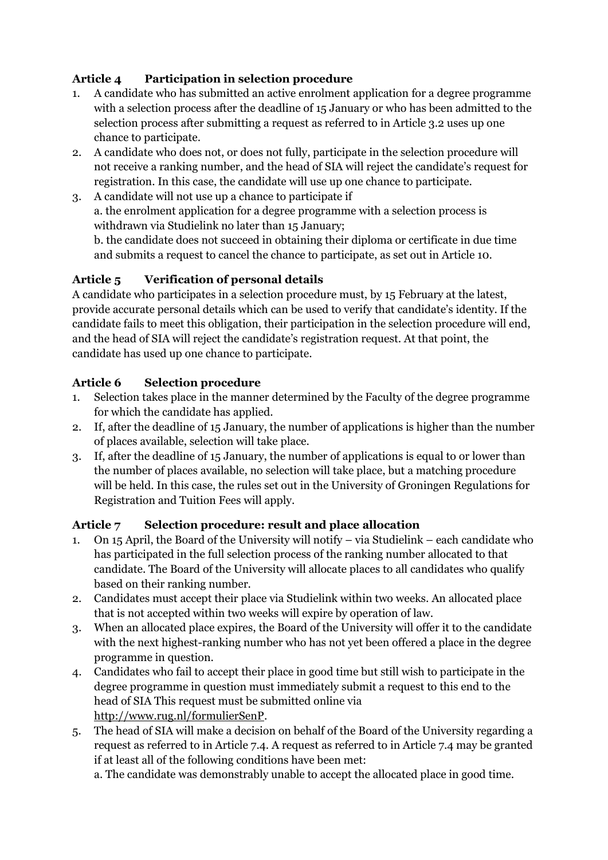# **Article 4 Participation in selection procedure**

- 1. A candidate who has submitted an active enrolment application for a degree programme with a selection process after the deadline of 15 January or who has been admitted to the selection process after submitting a request as referred to in Article 3.2 uses up one chance to participate.
- 2. A candidate who does not, or does not fully, participate in the selection procedure will not receive a ranking number, and the head of SIA will reject the candidate's request for registration. In this case, the candidate will use up one chance to participate.
- 3. A candidate will not use up a chance to participate if a. the enrolment application for a degree programme with a selection process is withdrawn via Studielink no later than 15 January;

b. the candidate does not succeed in obtaining their diploma or certificate in due time and submits a request to cancel the chance to participate, as set out in Article 10.

# **Article 5 Verification of personal details**

A candidate who participates in a selection procedure must, by 15 February at the latest, provide accurate personal details which can be used to verify that candidate's identity. If the candidate fails to meet this obligation, their participation in the selection procedure will end, and the head of SIA will reject the candidate's registration request. At that point, the candidate has used up one chance to participate.

### **Article 6 Selection procedure**

- 1. Selection takes place in the manner determined by the Faculty of the degree programme for which the candidate has applied.
- 2. If, after the deadline of 15 January, the number of applications is higher than the number of places available, selection will take place.
- 3. If, after the deadline of 15 January, the number of applications is equal to or lower than the number of places available, no selection will take place, but a matching procedure will be held. In this case, the rules set out in the University of Groningen Regulations for Registration and Tuition Fees will apply.

### **Article 7 Selection procedure: result and place allocation**

- 1. On 15 April, the Board of the University will notify via Studielink each candidate who has participated in the full selection process of the ranking number allocated to that candidate. The Board of the University will allocate places to all candidates who qualify based on their ranking number.
- 2. Candidates must accept their place via Studielink within two weeks. An allocated place that is not accepted within two weeks will expire by operation of law.
- 3. When an allocated place expires, the Board of the University will offer it to the candidate with the next highest-ranking number who has not yet been offered a place in the degree programme in question.
- 4. Candidates who fail to accept their place in good time but still wish to participate in the degree programme in question must immediately submit a request to this end to the head of SIA This request must be submitted online via [http://www.rug.nl/formulierSenP.](http://www.rug.nl/formulierSenP)
- 5. The head of SIA will make a decision on behalf of the Board of the University regarding a request as referred to in Article 7.4. A request as referred to in Article 7.4 may be granted if at least all of the following conditions have been met:

a. The candidate was demonstrably unable to accept the allocated place in good time.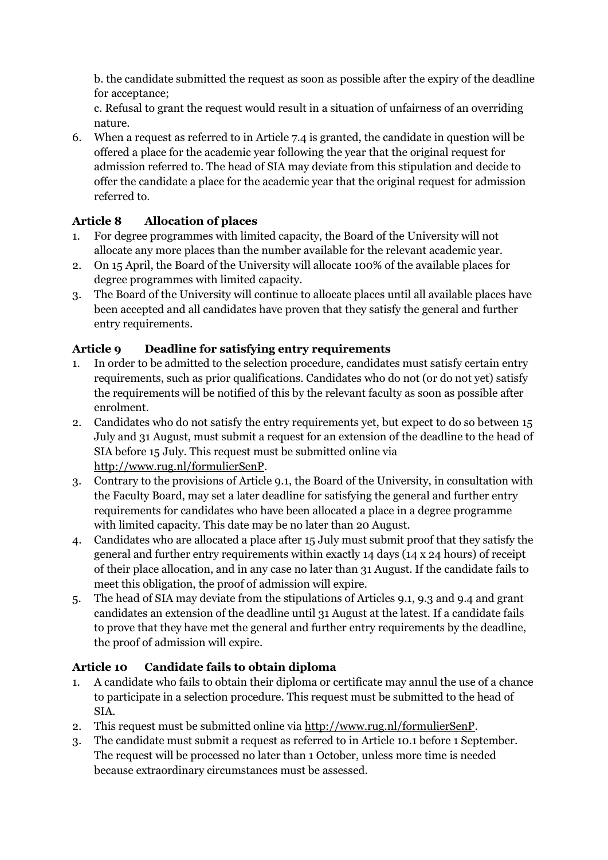b. the candidate submitted the request as soon as possible after the expiry of the deadline for acceptance;

c. Refusal to grant the request would result in a situation of unfairness of an overriding nature.

6. When a request as referred to in Article 7.4 is granted, the candidate in question will be offered a place for the academic year following the year that the original request for admission referred to. The head of SIA may deviate from this stipulation and decide to offer the candidate a place for the academic year that the original request for admission referred to.

# **Article 8 Allocation of places**

- 1. For degree programmes with limited capacity, the Board of the University will not allocate any more places than the number available for the relevant academic year.
- 2. On 15 April, the Board of the University will allocate 100% of the available places for degree programmes with limited capacity.
- 3. The Board of the University will continue to allocate places until all available places have been accepted and all candidates have proven that they satisfy the general and further entry requirements.

### **Article 9 Deadline for satisfying entry requirements**

- 1. In order to be admitted to the selection procedure, candidates must satisfy certain entry requirements, such as prior qualifications. Candidates who do not (or do not yet) satisfy the requirements will be notified of this by the relevant faculty as soon as possible after enrolment.
- 2. Candidates who do not satisfy the entry requirements yet, but expect to do so between 15 July and 31 August, must submit a request for an extension of the deadline to the head of SIA before 15 July. This request must be submitted online via [http://www.rug.nl/formulierSenP.](http://www.rug.nl/formulierSenP)
- 3. Contrary to the provisions of Article 9.1, the Board of the University, in consultation with the Faculty Board, may set a later deadline for satisfying the general and further entry requirements for candidates who have been allocated a place in a degree programme with limited capacity. This date may be no later than 20 August.
- 4. Candidates who are allocated a place after 15 July must submit proof that they satisfy the general and further entry requirements within exactly 14 days (14 x 24 hours) of receipt of their place allocation, and in any case no later than 31 August. If the candidate fails to meet this obligation, the proof of admission will expire.
- 5. The head of SIA may deviate from the stipulations of Articles 9.1, 9.3 and 9.4 and grant candidates an extension of the deadline until 31 August at the latest. If a candidate fails to prove that they have met the general and further entry requirements by the deadline, the proof of admission will expire.

### **Article 10 Candidate fails to obtain diploma**

- 1. A candidate who fails to obtain their diploma or certificate may annul the use of a chance to participate in a selection procedure. This request must be submitted to the head of SIA.
- 2. This request must be submitted online via [http://www.rug.nl/formulierSenP.](http://www.rug.nl/formulierSenP)
- 3. The candidate must submit a request as referred to in Article 10.1 before 1 September. The request will be processed no later than 1 October, unless more time is needed because extraordinary circumstances must be assessed.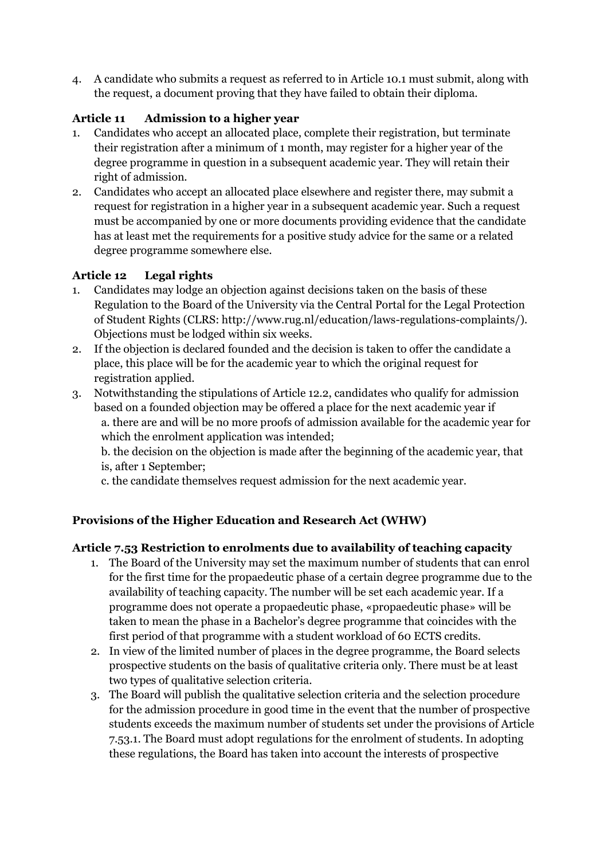4. A candidate who submits a request as referred to in Article 10.1 must submit, along with the request, a document proving that they have failed to obtain their diploma.

# **Article 11 Admission to a higher year**

- 1. Candidates who accept an allocated place, complete their registration, but terminate their registration after a minimum of 1 month, may register for a higher year of the degree programme in question in a subsequent academic year. They will retain their right of admission.
- 2. Candidates who accept an allocated place elsewhere and register there, may submit a request for registration in a higher year in a subsequent academic year. Such a request must be accompanied by one or more documents providing evidence that the candidate has at least met the requirements for a positive study advice for the same or a related degree programme somewhere else.

# **Article 12 Legal rights**

- 1. Candidates may lodge an objection against decisions taken on the basis of these Regulation to the Board of the University via the Central Portal for the Legal Protection of Student Rights (CLRS: http://www.rug.nl/education/laws-regulations-complaints/). Objections must be lodged within six weeks.
- 2. If the objection is declared founded and the decision is taken to offer the candidate a place, this place will be for the academic year to which the original request for registration applied.
- 3. Notwithstanding the stipulations of Article 12.2, candidates who qualify for admission based on a founded objection may be offered a place for the next academic year if a. there are and will be no more proofs of admission available for the academic year for which the enrolment application was intended;

b. the decision on the objection is made after the beginning of the academic year, that is, after 1 September;

c. the candidate themselves request admission for the next academic year.

### **Provisions of the Higher Education and Research Act (WHW)**

### **Article 7.53 Restriction to enrolments due to availability of teaching capacity**

- 1. The Board of the University may set the maximum number of students that can enrol for the first time for the propaedeutic phase of a certain degree programme due to the availability of teaching capacity. The number will be set each academic year. If a programme does not operate a propaedeutic phase, «propaedeutic phase» will be taken to mean the phase in a Bachelor's degree programme that coincides with the first period of that programme with a student workload of 60 ECTS credits.
- 2. In view of the limited number of places in the degree programme, the Board selects prospective students on the basis of qualitative criteria only. There must be at least two types of qualitative selection criteria.
- 3. The Board will publish the qualitative selection criteria and the selection procedure for the admission procedure in good time in the event that the number of prospective students exceeds the maximum number of students set under the provisions of Article 7.53.1. The Board must adopt regulations for the enrolment of students. In adopting these regulations, the Board has taken into account the interests of prospective